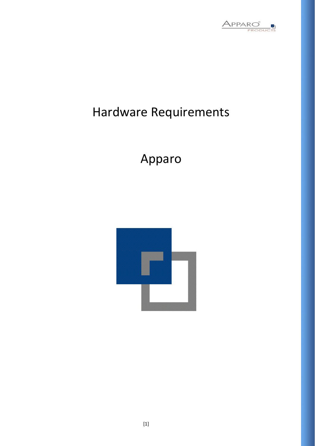

# Hardware Requirements

Apparo

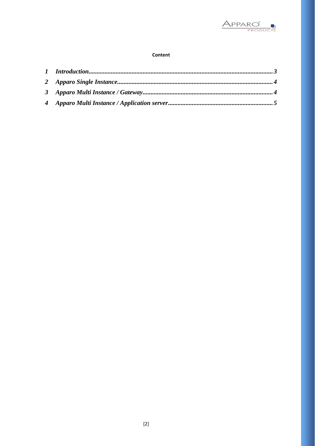

#### Content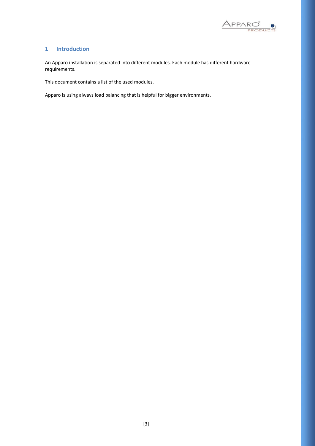

#### <span id="page-2-0"></span>**1 Introduction**

An Apparo installation is separated into different modules. Each module has different hardware requirements.

This document contains a list of the used modules.

Apparo is using always load balancing that is helpful for bigger environments.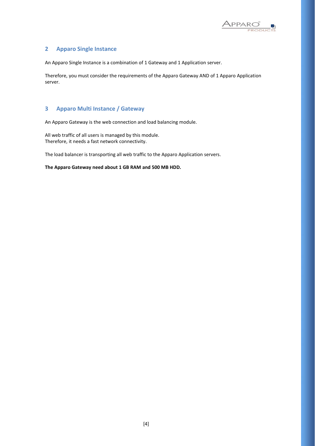

### <span id="page-3-0"></span>**2 Apparo Single Instance**

An Apparo Single Instance is a combination of 1 Gateway and 1 Application server.

Therefore, you must consider the requirements of the Apparo Gateway AND of 1 Apparo Application server.

## <span id="page-3-1"></span>**3 Apparo Multi Instance / Gateway**

An Apparo Gateway is the web connection and load balancing module.

All web traffic of all users is managed by this module. Therefore, it needs a fast network connectivity.

The load balancer is transporting all web traffic to the Apparo Application servers.

**The Apparo Gateway need about 1 GB RAM and 500 MB HDD.**